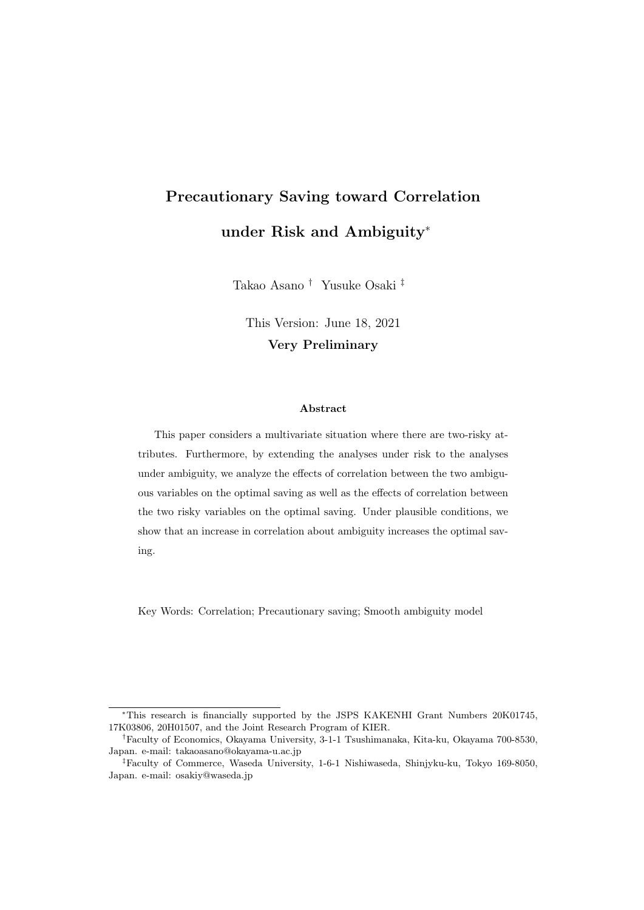# **Precautionary Saving toward Correlation under Risk and Ambiguity***<sup>∗</sup>*

Takao Asano *†* Yusuke Osaki *‡*

This Version: June 18, 2021 **Very Preliminary**

#### **Abstract**

This paper considers a multivariate situation where there are two-risky attributes. Furthermore, by extending the analyses under risk to the analyses under ambiguity, we analyze the effects of correlation between the two ambiguous variables on the optimal saving as well as the effects of correlation between the two risky variables on the optimal saving. Under plausible conditions, we show that an increase in correlation about ambiguity increases the optimal saving.

Key Words: Correlation; Precautionary saving; Smooth ambiguity model

*<sup>∗</sup>*This research is financially supported by the JSPS KAKENHI Grant Numbers 20K01745, 17K03806, 20H01507, and the Joint Research Program of KIER.

*<sup>†</sup>*Faculty of Economics, Okayama University, 3-1-1 Tsushimanaka, Kita-ku, Okayama 700-8530, Japan. e-mail: takaoasano@okayama-u.ac.jp

*<sup>‡</sup>*Faculty of Commerce, Waseda University, 1-6-1 Nishiwaseda, Shinjyku-ku, Tokyo 169-8050, Japan. e-mail: osakiy@waseda.jp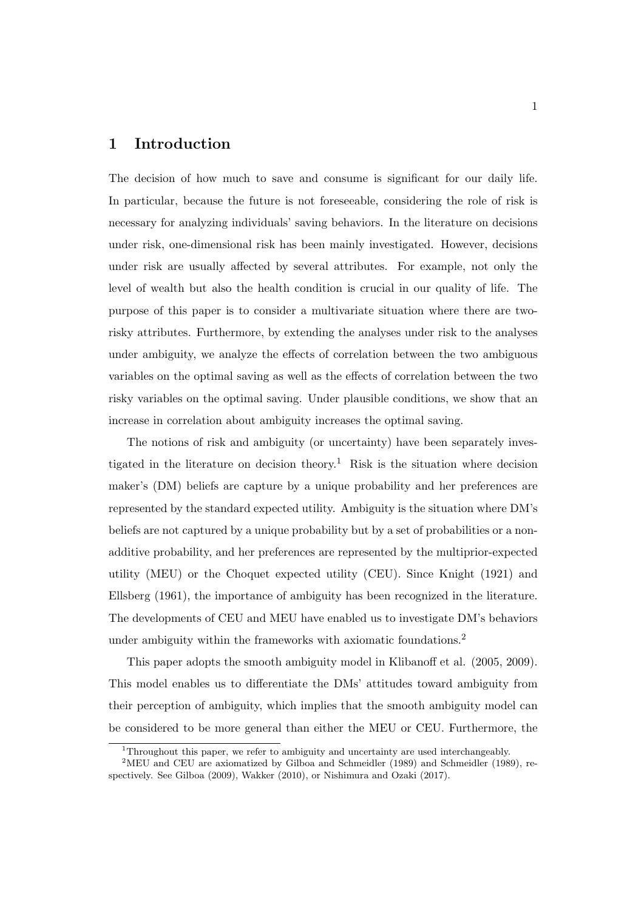#### **1 Introduction**

The decision of how much to save and consume is significant for our daily life. In particular, because the future is not foreseeable, considering the role of risk is necessary for analyzing individuals' saving behaviors. In the literature on decisions under risk, one-dimensional risk has been mainly investigated. However, decisions under risk are usually affected by several attributes. For example, not only the level of wealth but also the health condition is crucial in our quality of life. The purpose of this paper is to consider a multivariate situation where there are tworisky attributes. Furthermore, by extending the analyses under risk to the analyses under ambiguity, we analyze the effects of correlation between the two ambiguous variables on the optimal saving as well as the effects of correlation between the two risky variables on the optimal saving. Under plausible conditions, we show that an increase in correlation about ambiguity increases the optimal saving.

The notions of risk and ambiguity (or uncertainty) have been separately investigated in the literature on decision theory.<sup>1</sup> Risk is the situation where decision maker's (DM) beliefs are capture by a unique probability and her preferences are represented by the standard expected utility. Ambiguity is the situation where DM's beliefs are not captured by a unique probability but by a set of probabilities or a nonadditive probability, and her preferences are represented by the multiprior-expected utility (MEU) or the Choquet expected utility (CEU). Since Knight (1921) and Ellsberg (1961), the importance of ambiguity has been recognized in the literature. The developments of CEU and MEU have enabled us to investigate DM's behaviors under ambiguity within the frameworks with axiomatic foundations.<sup>2</sup>

This paper adopts the smooth ambiguity model in Klibanoff et al. (2005, 2009). This model enables us to differentiate the DMs' attitudes toward ambiguity from their perception of ambiguity, which implies that the smooth ambiguity model can be considered to be more general than either the MEU or CEU. Furthermore, the

<sup>&</sup>lt;sup>1</sup>Throughout this paper, we refer to ambiguity and uncertainty are used interchangeably.

<sup>2</sup>MEU and CEU are axiomatized by Gilboa and Schmeidler (1989) and Schmeidler (1989), respectively. See Gilboa (2009), Wakker (2010), or Nishimura and Ozaki (2017).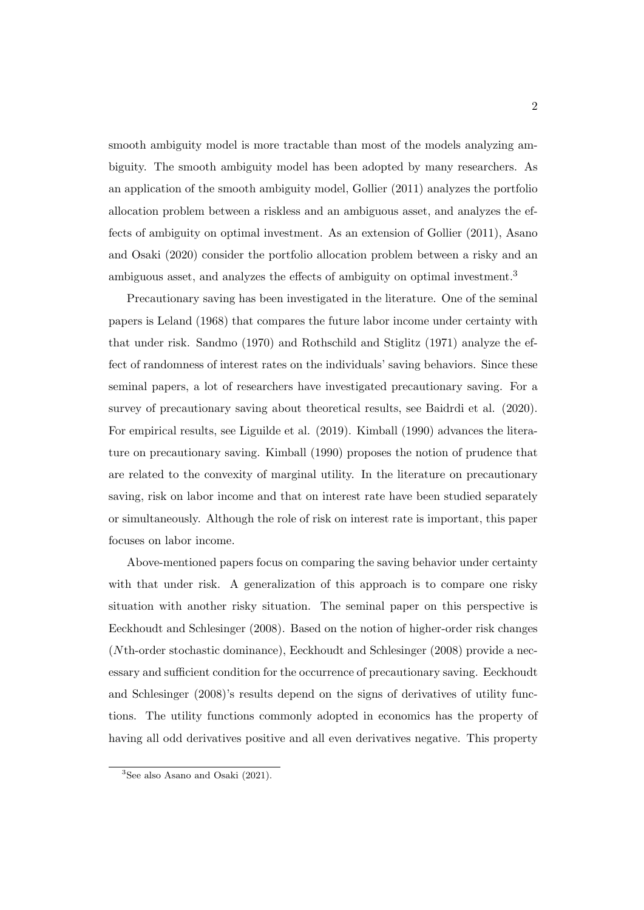smooth ambiguity model is more tractable than most of the models analyzing ambiguity. The smooth ambiguity model has been adopted by many researchers. As an application of the smooth ambiguity model, Gollier (2011) analyzes the portfolio allocation problem between a riskless and an ambiguous asset, and analyzes the effects of ambiguity on optimal investment. As an extension of Gollier (2011), Asano and Osaki (2020) consider the portfolio allocation problem between a risky and an ambiguous asset, and analyzes the effects of ambiguity on optimal investment.<sup>3</sup>

Precautionary saving has been investigated in the literature. One of the seminal papers is Leland (1968) that compares the future labor income under certainty with that under risk. Sandmo (1970) and Rothschild and Stiglitz (1971) analyze the effect of randomness of interest rates on the individuals' saving behaviors. Since these seminal papers, a lot of researchers have investigated precautionary saving. For a survey of precautionary saving about theoretical results, see Baidrdi et al. (2020). For empirical results, see Liguilde et al. (2019). Kimball (1990) advances the literature on precautionary saving. Kimball (1990) proposes the notion of prudence that are related to the convexity of marginal utility. In the literature on precautionary saving, risk on labor income and that on interest rate have been studied separately or simultaneously. Although the role of risk on interest rate is important, this paper focuses on labor income.

Above-mentioned papers focus on comparing the saving behavior under certainty with that under risk. A generalization of this approach is to compare one risky situation with another risky situation. The seminal paper on this perspective is Eeckhoudt and Schlesinger (2008). Based on the notion of higher-order risk changes (*N*th-order stochastic dominance), Eeckhoudt and Schlesinger (2008) provide a necessary and sufficient condition for the occurrence of precautionary saving. Eeckhoudt and Schlesinger (2008)'s results depend on the signs of derivatives of utility functions. The utility functions commonly adopted in economics has the property of having all odd derivatives positive and all even derivatives negative. This property

<sup>3</sup>See also Asano and Osaki (2021).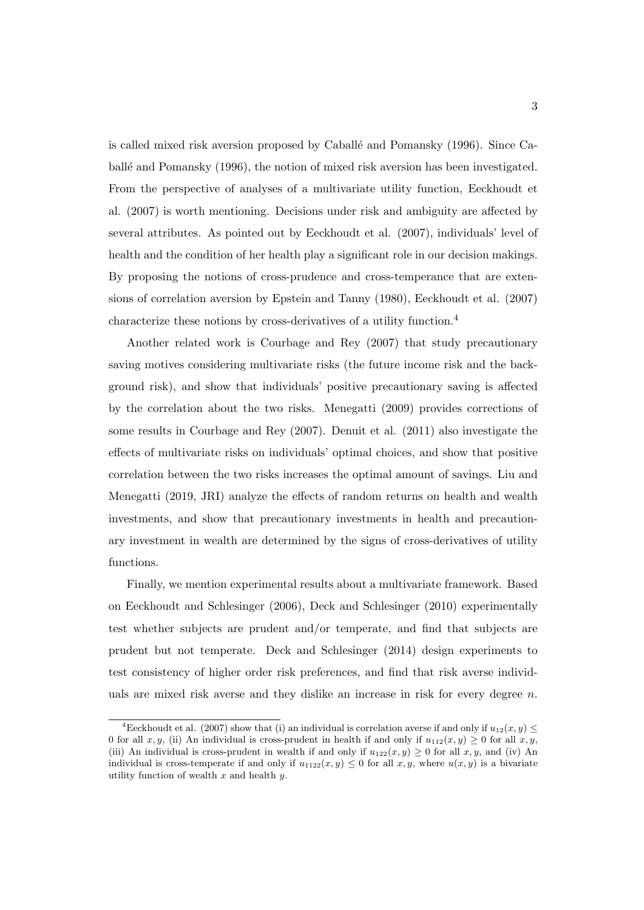is called mixed risk aversion proposed by Caballé and Pomansky (1996). Since Caball´e and Pomansky (1996), the notion of mixed risk aversion has been investigated. From the perspective of analyses of a multivariate utility function, Eeckhoudt et al. (2007) is worth mentioning. Decisions under risk and ambiguity are affected by several attributes. As pointed out by Eeckhoudt et al. (2007), individuals' level of health and the condition of her health play a significant role in our decision makings. By proposing the notions of cross-prudence and cross-temperance that are extensions of correlation aversion by Epstein and Tanny (1980), Eeckhoudt et al. (2007) characterize these notions by cross-derivatives of a utility function.<sup>4</sup>

Another related work is Courbage and Rey (2007) that study precautionary saving motives considering multivariate risks (the future income risk and the background risk), and show that individuals' positive precautionary saving is affected by the correlation about the two risks. Menegatti (2009) provides corrections of some results in Courbage and Rey (2007). Denuit et al. (2011) also investigate the effects of multivariate risks on individuals' optimal choices, and show that positive correlation between the two risks increases the optimal amount of savings. Liu and Menegatti (2019, JRI) analyze the effects of random returns on health and wealth investments, and show that precautionary investments in health and precautionary investment in wealth are determined by the signs of cross-derivatives of utility functions.

Finally, we mention experimental results about a multivariate framework. Based on Eeckhoudt and Schlesinger (2006), Deck and Schlesinger (2010) experimentally test whether subjects are prudent and/or temperate, and find that subjects are prudent but not temperate. Deck and Schlesinger (2014) design experiments to test consistency of higher order risk preferences, and find that risk averse individuals are mixed risk averse and they dislike an increase in risk for every degree *n*.

<sup>&</sup>lt;sup>4</sup>Eeckhoudt et al. (2007) show that (i) an individual is correlation averse if and only if  $u_{12}(x, y)$  < 0 for all *x, y*, (ii) An individual is cross-prudent in health if and only if  $u_{112}(x, y) \ge 0$  for all *x, y*, (iii) An individual is cross-prudent in wealth if and only if  $u_{122}(x, y) \geq 0$  for all  $x, y$ , and (iv) An individual is cross-temperate if and only if  $u_{1122}(x, y) \leq 0$  for all  $x, y$ , where  $u(x, y)$  is a bivariate utility function of wealth *x* and health *y*.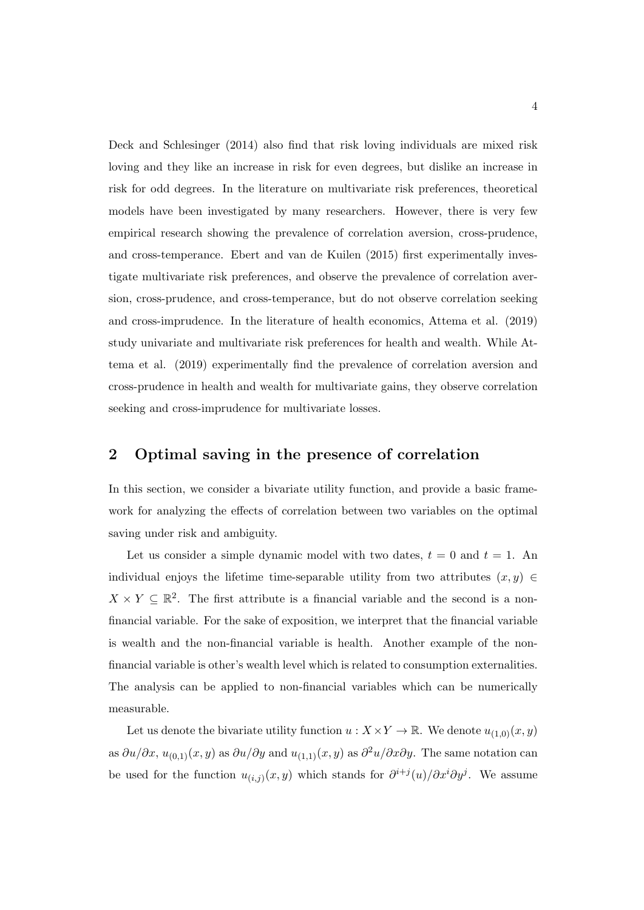Deck and Schlesinger (2014) also find that risk loving individuals are mixed risk loving and they like an increase in risk for even degrees, but dislike an increase in risk for odd degrees. In the literature on multivariate risk preferences, theoretical models have been investigated by many researchers. However, there is very few empirical research showing the prevalence of correlation aversion, cross-prudence, and cross-temperance. Ebert and van de Kuilen (2015) first experimentally investigate multivariate risk preferences, and observe the prevalence of correlation aversion, cross-prudence, and cross-temperance, but do not observe correlation seeking and cross-imprudence. In the literature of health economics, Attema et al. (2019) study univariate and multivariate risk preferences for health and wealth. While Attema et al. (2019) experimentally find the prevalence of correlation aversion and cross-prudence in health and wealth for multivariate gains, they observe correlation seeking and cross-imprudence for multivariate losses.

#### **2 Optimal saving in the presence of correlation**

In this section, we consider a bivariate utility function, and provide a basic framework for analyzing the effects of correlation between two variables on the optimal saving under risk and ambiguity.

Let us consider a simple dynamic model with two dates,  $t = 0$  and  $t = 1$ . An individual enjoys the lifetime time-separable utility from two attributes  $(x, y) \in$  $X \times Y \subseteq \mathbb{R}^2$ . The first attribute is a financial variable and the second is a nonfinancial variable. For the sake of exposition, we interpret that the financial variable is wealth and the non-financial variable is health. Another example of the nonfinancial variable is other's wealth level which is related to consumption externalities. The analysis can be applied to non-financial variables which can be numerically measurable.

Let us denote the bivariate utility function  $u : X \times Y \to \mathbb{R}$ . We denote  $u_{(1,0)}(x, y)$ as  $\partial u/\partial x$ ,  $u_{(0,1)}(x, y)$  as  $\partial u/\partial y$  and  $u_{(1,1)}(x, y)$  as  $\partial^2 u/\partial x \partial y$ . The same notation can be used for the function  $u_{(i,j)}(x, y)$  which stands for  $\partial^{i+j}(u)/\partial x^{i} \partial y^{j}$ . We assume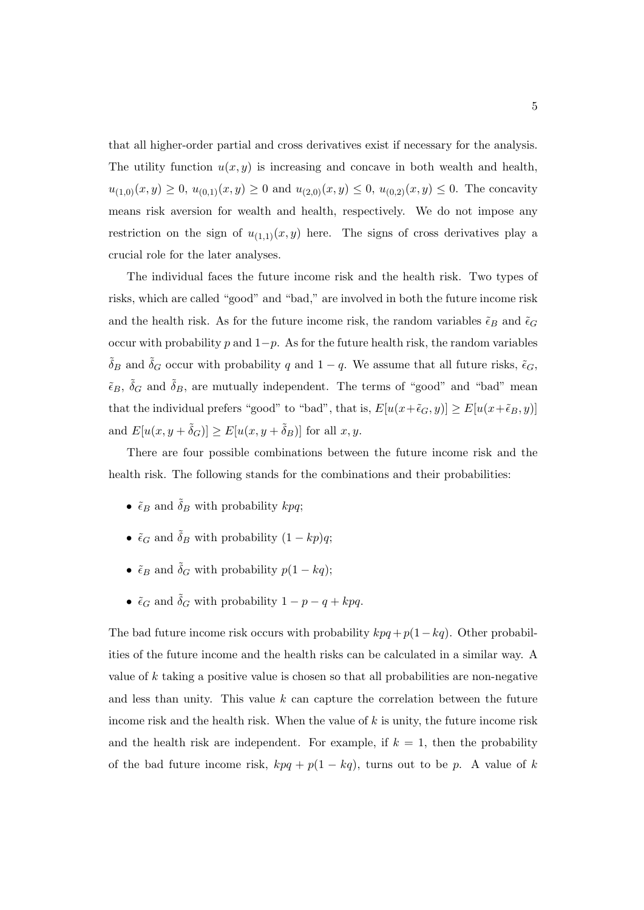that all higher-order partial and cross derivatives exist if necessary for the analysis. The utility function  $u(x, y)$  is increasing and concave in both wealth and health,  $u_{(1,0)}(x,y) \geq 0$ ,  $u_{(0,1)}(x,y) \geq 0$  and  $u_{(2,0)}(x,y) \leq 0$ ,  $u_{(0,2)}(x,y) \leq 0$ . The concavity means risk aversion for wealth and health, respectively. We do not impose any restriction on the sign of  $u_{(1,1)}(x,y)$  here. The signs of cross derivatives play a crucial role for the later analyses.

The individual faces the future income risk and the health risk. Two types of risks, which are called "good" and "bad," are involved in both the future income risk and the health risk. As for the future income risk, the random variables  $\tilde{\epsilon}_B$  and  $\tilde{\epsilon}_G$ occur with probability *p* and 1*−p*. As for the future health risk, the random variables  $δ$ *B* and  $δ$ *G* occur with probability *q* and 1 − *q*. We assume that all future risks,  $ε$ <sup>*G*</sup>,  $\tilde{\epsilon}_B$ ,  $\tilde{\delta}_G$  and  $\tilde{\delta}_B$ , are mutually independent. The terms of "good" and "bad" mean that the individual prefers "good" to "bad", that is,  $E[u(x+\tilde{\epsilon}_G, y)] \ge E[u(x+\tilde{\epsilon}_B, y)]$ and  $E[u(x, y + \tilde{\delta}_G)] \ge E[u(x, y + \tilde{\delta}_B)]$  for all  $x, y$ .

There are four possible combinations between the future income risk and the health risk. The following stands for the combinations and their probabilities:

- $\tilde{\epsilon}_B$  and  $\tilde{\delta}_B$  with probability *kpq*;
- $\tilde{\epsilon}_G$  and  $\tilde{\delta}_B$  with probability  $(1 kp)q$ ;
- $\tilde{\epsilon}_B$  and  $\tilde{\delta}_G$  with probability  $p(1 kq)$ ;
- $\tilde{\epsilon}_G$  and  $\tilde{\delta}_G$  with probability  $1 p q + kpq$ .

The bad future income risk occurs with probability *kpq* +*p*(1*−kq*). Other probabilities of the future income and the health risks can be calculated in a similar way. A value of *k* taking a positive value is chosen so that all probabilities are non-negative and less than unity. This value *k* can capture the correlation between the future income risk and the health risk. When the value of *k* is unity, the future income risk and the health risk are independent. For example, if  $k = 1$ , then the probability of the bad future income risk,  $kpq + p(1 - kq)$ , turns out to be *p*. A value of *k*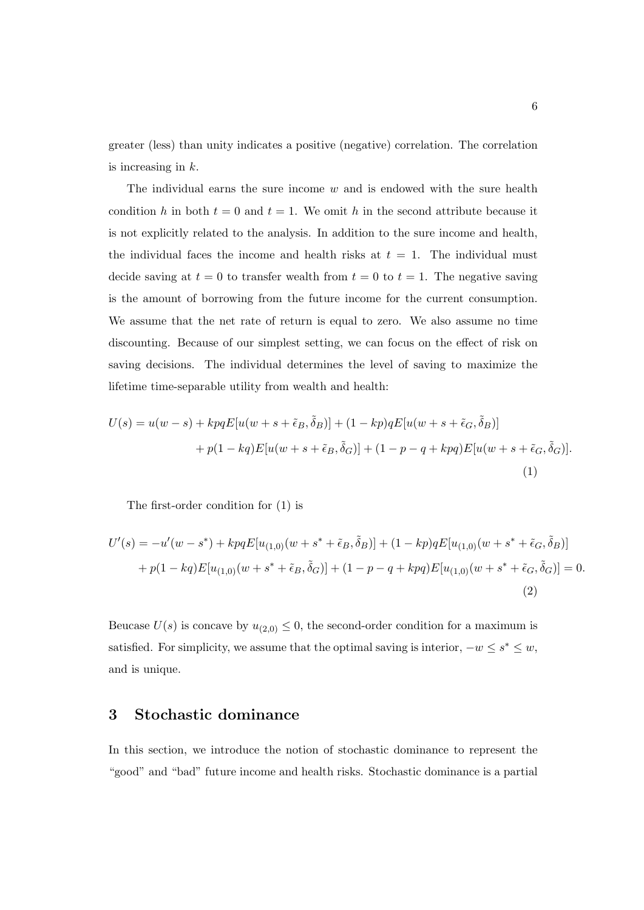greater (less) than unity indicates a positive (negative) correlation. The correlation is increasing in *k*.

The individual earns the sure income *w* and is endowed with the sure health condition *h* in both  $t = 0$  and  $t = 1$ . We omit *h* in the second attribute because it is not explicitly related to the analysis. In addition to the sure income and health, the individual faces the income and health risks at  $t = 1$ . The individual must decide saving at  $t = 0$  to transfer wealth from  $t = 0$  to  $t = 1$ . The negative saving is the amount of borrowing from the future income for the current consumption. We assume that the net rate of return is equal to zero. We also assume no time discounting. Because of our simplest setting, we can focus on the effect of risk on saving decisions. The individual determines the level of saving to maximize the lifetime time-separable utility from wealth and health:

$$
U(s) = u(w - s) + kpqE[u(w + s + \tilde{\epsilon}_B, \tilde{\delta}_B)] + (1 - kp)qE[u(w + s + \tilde{\epsilon}_G, \tilde{\delta}_B)]
$$

$$
+ p(1 - kq)E[u(w + s + \tilde{\epsilon}_B, \tilde{\delta}_G)] + (1 - p - q + kpq)E[u(w + s + \tilde{\epsilon}_G, \tilde{\delta}_G)].
$$

$$
(1)
$$

The first-order condition for (1) is

$$
U'(s) = -u'(w - s^*) + kpqE[u_{(1,0)}(w + s^* + \tilde{\epsilon}_B, \tilde{\delta}_B)] + (1 - kp)qE[u_{(1,0)}(w + s^* + \tilde{\epsilon}_G, \tilde{\delta}_B)]
$$
  
+  $p(1 - kq)E[u_{(1,0)}(w + s^* + \tilde{\epsilon}_B, \tilde{\delta}_G)] + (1 - p - q + kpq)E[u_{(1,0)}(w + s^* + \tilde{\epsilon}_G, \tilde{\delta}_G)] = 0.$   
(2)

Beucase  $U(s)$  is concave by  $u_{(2,0)} \leq 0$ , the second-order condition for a maximum is satisfied. For simplicity, we assume that the optimal saving is interior,  $-v \leq s^* \leq w$ , and is unique.

#### **3 Stochastic dominance**

In this section, we introduce the notion of stochastic dominance to represent the "good" and "bad" future income and health risks. Stochastic dominance is a partial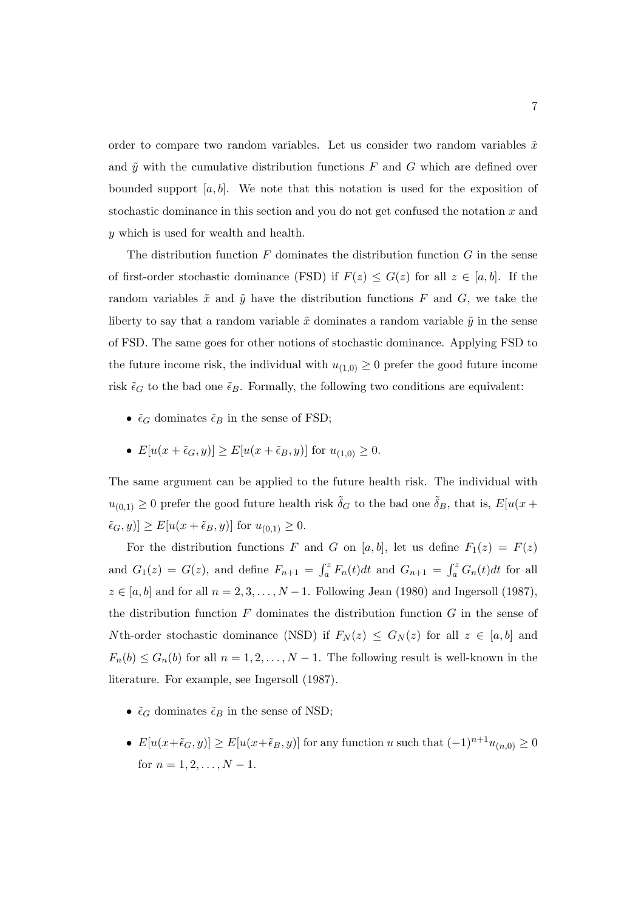order to compare two random variables. Let us consider two random variables  $\tilde{x}$ and  $\tilde{y}$  with the cumulative distribution functions  $F$  and  $G$  which are defined over bounded support  $[a, b]$ . We note that this notation is used for the exposition of stochastic dominance in this section and you do not get confused the notation *x* and *y* which is used for wealth and health.

The distribution function *F* dominates the distribution function *G* in the sense of first-order stochastic dominance (FSD) if  $F(z) \leq G(z)$  for all  $z \in [a, b]$ . If the random variables  $\tilde{x}$  and  $\tilde{y}$  have the distribution functions F and G, we take the liberty to say that a random variable  $\tilde{x}$  dominates a random variable  $\tilde{y}$  in the sense of FSD. The same goes for other notions of stochastic dominance. Applying FSD to the future income risk, the individual with  $u_{(1,0)} \geq 0$  prefer the good future income risk  $\tilde{\epsilon}_G$  to the bad one  $\tilde{\epsilon}_B$ . Formally, the following two conditions are equivalent:

- $\tilde{\epsilon}_G$  dominates  $\tilde{\epsilon}_B$  in the sense of FSD;
- $E[u(x + \tilde{\epsilon}_G, y)] \ge E[u(x + \tilde{\epsilon}_B, y)]$  for  $u_{(1,0)} \ge 0$ .

The same argument can be applied to the future health risk. The individual with  $u_{(0,1)} \geq 0$  prefer the good future health risk  $\tilde{\delta}_G$  to the bad one  $\tilde{\delta}_B$ , that is,  $E[u(x +$  $[\tilde{\epsilon}_G, y] \ge E[u(x + \tilde{\epsilon}_B, y)]$  for  $u_{(0,1)} \ge 0$ .

For the distribution functions *F* and *G* on [a, b], let us define  $F_1(z) = F(z)$ and  $G_1(z) = G(z)$ , and define  $F_{n+1} = \int_a^z F_n(t)dt$  and  $G_{n+1} = \int_a^z G_n(t)dt$  for all *z* ∈ [*a, b*] and for all *n* = 2, 3, . . . , *N* − 1. Following Jean (1980) and Ingersoll (1987), the distribution function *F* dominates the distribution function *G* in the sense of *N*th-order stochastic dominance (NSD) if  $F_N(z) \le G_N(z)$  for all  $z \in [a, b]$  and  $F_n(b) \leq G_n(b)$  for all  $n = 1, 2, ..., N - 1$ . The following result is well-known in the literature. For example, see Ingersoll (1987).

- $\tilde{\epsilon}_G$  dominates  $\tilde{\epsilon}_B$  in the sense of NSD;
- $E[u(x+\tilde{\epsilon}_G, y)] \ge E[u(x+\tilde{\epsilon}_B, y)]$  for any function *u* such that  $(-1)^{n+1}u_{(n,0)} \ge 0$ for  $n = 1, 2, \ldots, N - 1$ .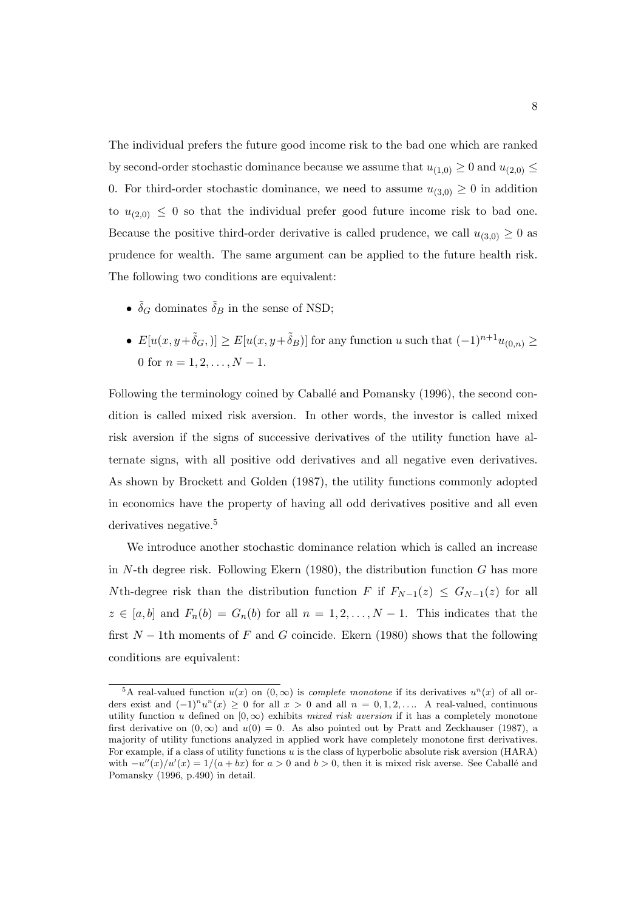The individual prefers the future good income risk to the bad one which are ranked by second-order stochastic dominance because we assume that  $u_{(1,0)} \geq 0$  and  $u_{(2,0)} \leq$ 0. For third-order stochastic dominance, we need to assume  $u_{(3,0)} \geq 0$  in addition to  $u_{(2,0)} \leq 0$  so that the individual prefer good future income risk to bad one. Because the positive third-order derivative is called prudence, we call  $u_{(3,0)} \geq 0$  as prudence for wealth. The same argument can be applied to the future health risk. The following two conditions are equivalent:

- $\tilde{\delta}_G$  dominates  $\tilde{\delta}_B$  in the sense of NSD;
- *•*  $E[u(x, y+δ<sub>G</sub>,)] \ge E[u(x, y+δ<sub>B</sub>)]$  for any function *u* such that  $(-1)^{n+1}u_{(0,n)} \ge$ 0 for  $n = 1, 2, ..., N - 1$ .

Following the terminology coined by Caballé and Pomansky (1996), the second condition is called mixed risk aversion. In other words, the investor is called mixed risk aversion if the signs of successive derivatives of the utility function have alternate signs, with all positive odd derivatives and all negative even derivatives. As shown by Brockett and Golden (1987), the utility functions commonly adopted in economics have the property of having all odd derivatives positive and all even derivatives negative.<sup>5</sup>

We introduce another stochastic dominance relation which is called an increase in *N*-th degree risk. Following Ekern (1980), the distribution function *G* has more *N*th-degree risk than the distribution function *F* if  $F_{N-1}(z) \leq G_{N-1}(z)$  for all  $z \in [a, b]$  and  $F_n(b) = G_n(b)$  for all  $n = 1, 2, \ldots, N-1$ . This indicates that the first *N −* 1th moments of *F* and *G* coincide. Ekern (1980) shows that the following conditions are equivalent:

<sup>&</sup>lt;sup>5</sup>A real-valued function  $u(x)$  on  $(0, \infty)$  is *complete monotone* if its derivatives  $u^n(x)$  of all orders exist and  $(-1)^n u^n(x) \ge 0$  for all  $x > 0$  and all  $n = 0, 1, 2, \ldots$  A real-valued, continuous utility function *u* defined on  $[0, \infty)$  exhibits *mixed risk aversion* if it has a completely monotone first derivative on  $(0, \infty)$  and  $u(0) = 0$ . As also pointed out by Pratt and Zeckhauser (1987), a majority of utility functions analyzed in applied work have completely monotone first derivatives. For example, if a class of utility functions *u* is the class of hyperbolic absolute risk aversion (HARA) with  $-u''(x)/u'(x) = 1/(a + bx)$  for  $a > 0$  and  $b > 0$ , then it is mixed risk averse. See Caballé and Pomansky (1996, p.490) in detail.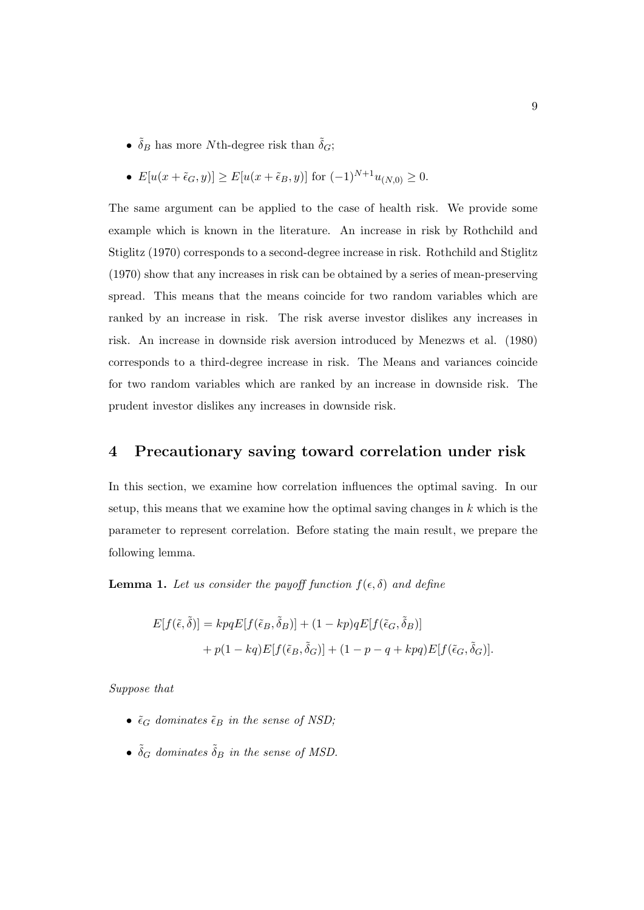- $\tilde{\delta}_B$  has more *N*th-degree risk than  $\tilde{\delta}_G$ ;
- $E[u(x+\tilde{\epsilon}_G, y)] \ge E[u(x+\tilde{\epsilon}_B, y)]$  for  $(-1)^{N+1}u_{(N,0)} \ge 0$ .

The same argument can be applied to the case of health risk. We provide some example which is known in the literature. An increase in risk by Rothchild and Stiglitz (1970) corresponds to a second-degree increase in risk. Rothchild and Stiglitz (1970) show that any increases in risk can be obtained by a series of mean-preserving spread. This means that the means coincide for two random variables which are ranked by an increase in risk. The risk averse investor dislikes any increases in risk. An increase in downside risk aversion introduced by Menezws et al. (1980) corresponds to a third-degree increase in risk. The Means and variances coincide for two random variables which are ranked by an increase in downside risk. The prudent investor dislikes any increases in downside risk.

#### **4 Precautionary saving toward correlation under risk**

In this section, we examine how correlation influences the optimal saving. In our setup, this means that we examine how the optimal saving changes in *k* which is the parameter to represent correlation. Before stating the main result, we prepare the following lemma.

**Lemma 1.** Let us consider the payoff function  $f(\epsilon, \delta)$  and define

$$
E[f(\tilde{\epsilon}, \tilde{\delta})] = kpqE[f(\tilde{\epsilon}_B, \tilde{\delta}_B)] + (1 - kp)qE[f(\tilde{\epsilon}_G, \tilde{\delta}_B)]
$$
  
+  $p(1 - kq)E[f(\tilde{\epsilon}_B, \tilde{\delta}_G)] + (1 - p - q + kpq)E[f(\tilde{\epsilon}_G, \tilde{\delta}_G)].$ 

*Suppose that*

- $\tilde{\epsilon}_G$  *dominates*  $\tilde{\epsilon}_B$  *in the sense of NSD;*
- $\tilde{\delta}_G$  *dominates*  $\tilde{\delta}_B$  *in the sense of MSD.*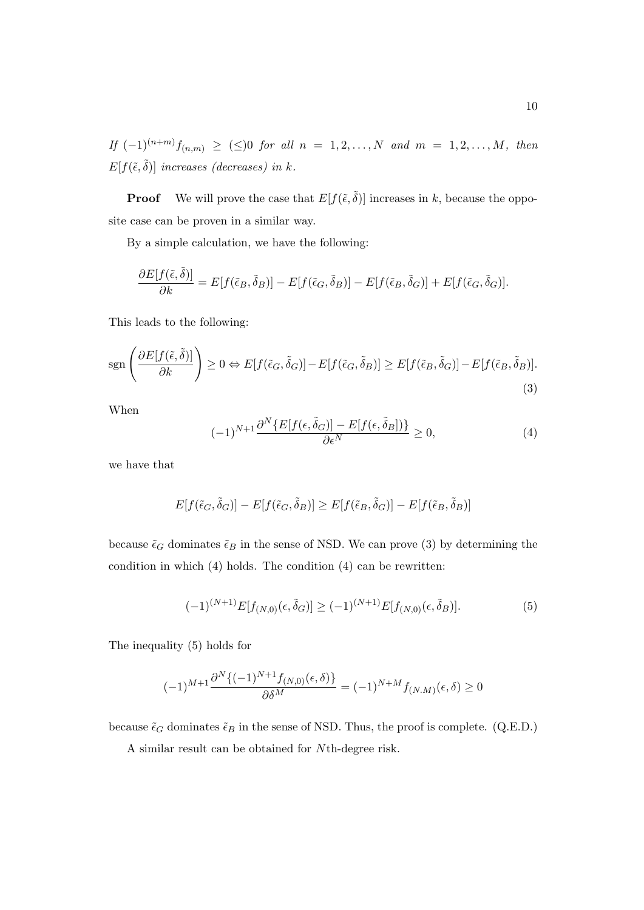*If*  $(-1)^{(n+m)} f_{(n,m)} \geq$  (≤)0 *for all*  $n = 1, 2, ..., N$  *and*  $m = 1, 2, ..., M$ *, then*  $E[f(\tilde{\epsilon}, \tilde{\delta})]$  *increases (decreases) in k.* 

**Proof** We will prove the case that  $E[f(\tilde{\epsilon}, \tilde{\delta})]$  increases in *k*, because the opposite case can be proven in a similar way.

By a simple calculation, we have the following:

$$
\frac{\partial E[f(\tilde{\epsilon},\tilde{\delta})]}{\partial k} = E[f(\tilde{\epsilon}_B,\tilde{\delta}_B)] - E[f(\tilde{\epsilon}_G,\tilde{\delta}_B)] - E[f(\tilde{\epsilon}_B,\tilde{\delta}_G)] + E[f(\tilde{\epsilon}_G,\tilde{\delta}_G)].
$$

This leads to the following:

$$
\operatorname{sgn}\left(\frac{\partial E[f(\tilde{\epsilon},\tilde{\delta})]}{\partial k}\right) \ge 0 \Leftrightarrow E[f(\tilde{\epsilon}_G,\tilde{\delta}_G)] - E[f(\tilde{\epsilon}_G,\tilde{\delta}_B)] \ge E[f(\tilde{\epsilon}_B,\tilde{\delta}_G)] - E[f(\tilde{\epsilon}_B,\tilde{\delta}_B)].
$$
\n(3)

When

$$
(-1)^{N+1} \frac{\partial^N \{ E[f(\epsilon, \tilde{\delta}_G)] - E[f(\epsilon, \tilde{\delta}_B]) \}}{\partial \epsilon^N} \ge 0,
$$
\n(4)

we have that

$$
E[f(\tilde{\epsilon}_G, \tilde{\delta}_G)] - E[f(\tilde{\epsilon}_G, \tilde{\delta}_B)] \ge E[f(\tilde{\epsilon}_B, \tilde{\delta}_G)] - E[f(\tilde{\epsilon}_B, \tilde{\delta}_B)]
$$

because  $\tilde{\epsilon}_G$  dominates  $\tilde{\epsilon}_B$  in the sense of NSD. We can prove (3) by determining the condition in which (4) holds. The condition (4) can be rewritten:

$$
(-1)^{(N+1)}E[f_{(N,0)}(\epsilon,\tilde{\delta}_G)] \ge (-1)^{(N+1)}E[f_{(N,0)}(\epsilon,\tilde{\delta}_B)].
$$
\n(5)

The inequality (5) holds for

$$
(-1)^{M+1} \frac{\partial^{N} \{ (-1)^{N+1} f_{(N,0)}(\epsilon, \delta) \}}{\partial \delta^{M}} = (-1)^{N+M} f_{(N,M)}(\epsilon, \delta) \ge 0
$$

because  $\tilde{\epsilon}_G$  dominates  $\tilde{\epsilon}_B$  in the sense of NSD. Thus, the proof is complete. (Q.E.D.)

A similar result can be obtained for *N*th-degree risk.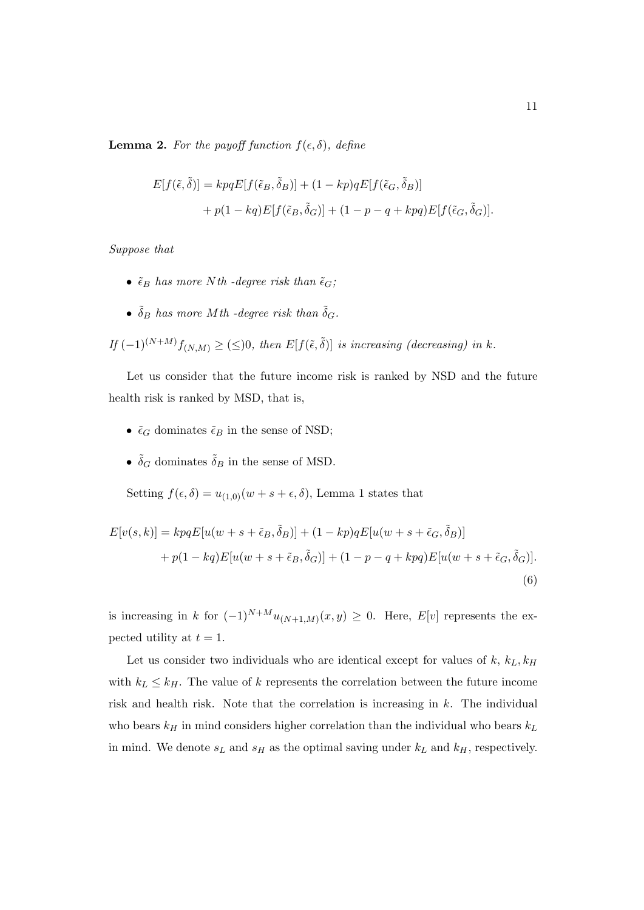**Lemma 2.** For the payoff function  $f(\epsilon, \delta)$ , define

$$
E[f(\tilde{\epsilon}, \tilde{\delta})] = kpqE[f(\tilde{\epsilon}_B, \tilde{\delta}_B)] + (1 - kp)qE[f(\tilde{\epsilon}_G, \tilde{\delta}_B)]
$$
  
+  $p(1 - kq)E[f(\tilde{\epsilon}_B, \tilde{\delta}_G)] + (1 - p - q + kpq)E[f(\tilde{\epsilon}_G, \tilde{\delta}_G)].$ 

*Suppose that*

- $\tilde{\epsilon}_B$  *has more Nth* -degree risk than  $\tilde{\epsilon}_G$ ;
- $\tilde{\delta}_B$  *has more* Mth -degree risk than  $\tilde{\delta}_G$ .

*If*  $(-1)^{(N+M)} f_{(N,M)}$  ≥ (≤)0, then  $E[f(\tilde{\epsilon}, \tilde{\delta})]$  *is increasing (decreasing) in k.* 

Let us consider that the future income risk is ranked by NSD and the future health risk is ranked by MSD, that is,

- $\tilde{\epsilon}_G$  dominates  $\tilde{\epsilon}_B$  in the sense of NSD;
- $\tilde{\delta}_G$  dominates  $\tilde{\delta}_B$  in the sense of MSD.

Setting  $f(\epsilon, \delta) = u_{(1,0)}(w+s+\epsilon, \delta)$ , Lemma 1 states that

$$
E[v(s,k)] = kpqE[u(w+s+\tilde{\epsilon}_B, \tilde{\delta}_B)] + (1 - kp)qE[u(w+s+\tilde{\epsilon}_G, \tilde{\delta}_B)]
$$
  
+  $p(1 - kq)E[u(w+s+\tilde{\epsilon}_B, \tilde{\delta}_G)] + (1 - p - q + kpq)E[u(w+s+\tilde{\epsilon}_G, \tilde{\delta}_G)].$   
(6)

is increasing in *k* for  $(-1)^{N+M}u_{(N+1,M)}(x, y) \geq 0$ . Here,  $E[v]$  represents the expected utility at  $t = 1$ .

Let us consider two individuals who are identical except for values of  $k$ ,  $k_L$ ,  $k_H$ with  $k_L \leq k_H$ . The value of *k* represents the correlation between the future income risk and health risk. Note that the correlation is increasing in *k*. The individual who bears  $k_H$  in mind considers higher correlation than the individual who bears  $k_L$ in mind. We denote  $s_L$  and  $s_H$  as the optimal saving under  $k_L$  and  $k_H$ , respectively.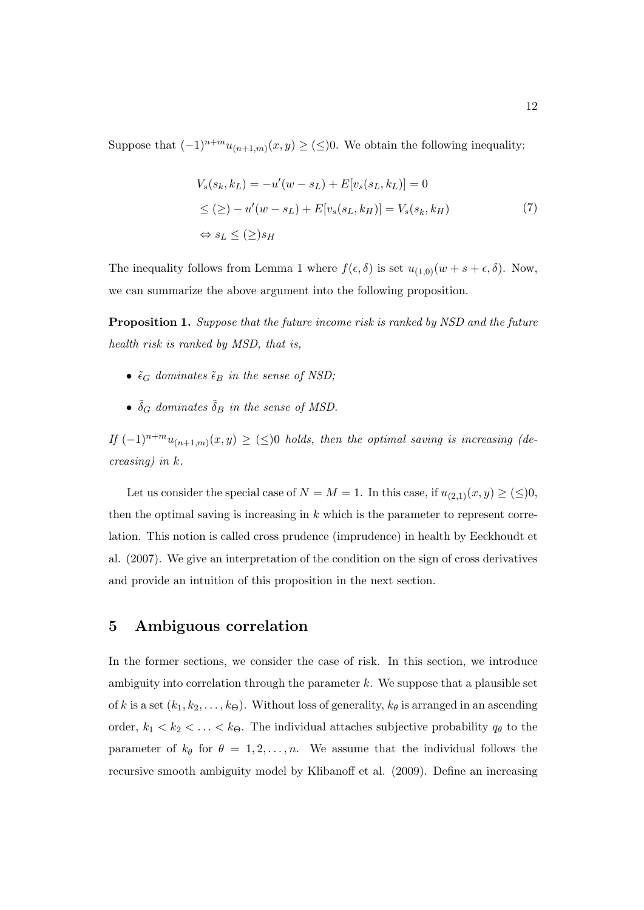Suppose that  $(-1)^{n+m}u_{(n+1,m)}(x, y) \geq (\leq)0$ . We obtain the following inequality:

$$
V_s(s_k, k_L) = -u'(w - s_L) + E[v_s(s_L, k_L)] = 0
$$
  
\n
$$
\leq (\geq) - u'(w - s_L) + E[v_s(s_L, k_H)] = V_s(s_k, k_H)
$$
  
\n
$$
\Leftrightarrow s_L \leq (\geq) s_H
$$
\n(7)

The inequality follows from Lemma 1 where  $f(\epsilon, \delta)$  is set  $u_{(1,0)}(w + s + \epsilon, \delta)$ . Now, we can summarize the above argument into the following proposition.

**Proposition 1.** *Suppose that the future income risk is ranked by NSD and the future health risk is ranked by MSD, that is,*

- $\tilde{\epsilon}_G$  *dominates*  $\tilde{\epsilon}_B$  *in the sense of NSD;*
- $\tilde{\delta}_G$  *dominates*  $\tilde{\delta}_B$  *in the sense of MSD.*

*If*  $(-1)^{n+m}u_{(n+1,m)}(x,y)$  ≥ (≤)0 *holds, then the optimal saving is increasing (decreasing) in k.*

Let us consider the special case of  $N = M = 1$ . In this case, if  $u_{(2,1)}(x, y) \geq (\leq)0$ , then the optimal saving is increasing in *k* which is the parameter to represent correlation. This notion is called cross prudence (imprudence) in health by Eeckhoudt et al. (2007). We give an interpretation of the condition on the sign of cross derivatives and provide an intuition of this proposition in the next section.

## **5 Ambiguous correlation**

In the former sections, we consider the case of risk. In this section, we introduce ambiguity into correlation through the parameter *k*. We suppose that a plausible set of *k* is a set  $(k_1, k_2, \ldots, k_{\Theta})$ . Without loss of generality,  $k_{\theta}$  is arranged in an ascending order,  $k_1 < k_2 < \ldots < k_{\Theta}$ . The individual attaches subjective probability  $q_{\theta}$  to the parameter of  $k_{\theta}$  for  $\theta = 1, 2, ..., n$ . We assume that the individual follows the recursive smooth ambiguity model by Klibanoff et al. (2009). Define an increasing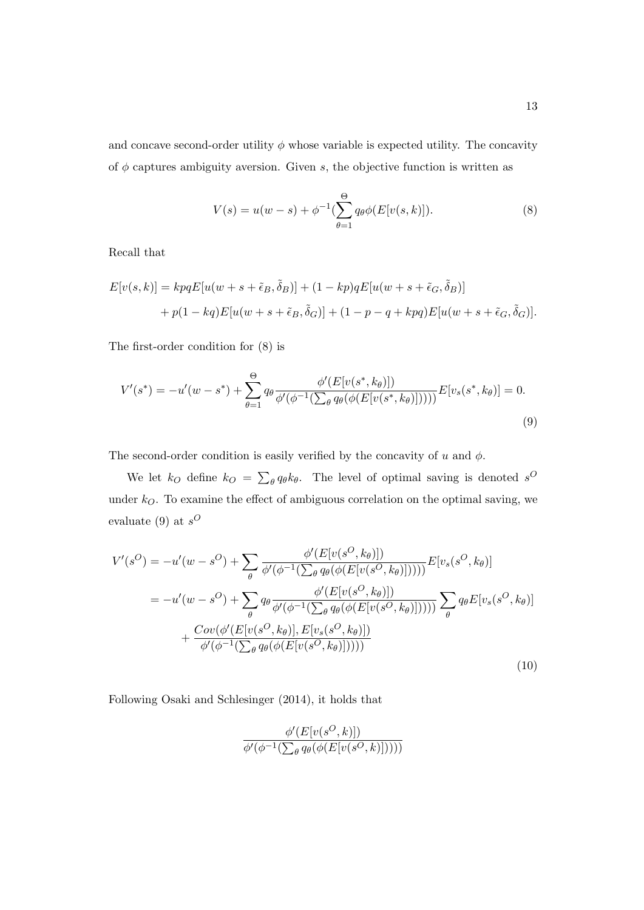and concave second-order utility  $\phi$  whose variable is expected utility. The concavity of  $\phi$  captures ambiguity aversion. Given *s*, the objective function is written as

$$
V(s) = u(w - s) + \phi^{-1}(\sum_{\theta=1}^{\Theta} q_{\theta} \phi(E[v(s, k)])).
$$
 (8)

Recall that

$$
E[v(s,k)] = kpqE[u(w+s+\tilde{\epsilon}_B, \tilde{\delta}_B)] + (1 - kp)qE[u(w+s+\tilde{\epsilon}_G, \tilde{\delta}_B)]
$$
  
+  $p(1 - kq)E[u(w+s+\tilde{\epsilon}_B, \tilde{\delta}_G)] + (1 - p - q + kpq)E[u(w+s+\tilde{\epsilon}_G, \tilde{\delta}_G)].$ 

The first-order condition for (8) is

$$
V'(s^*) = -u'(w - s^*) + \sum_{\theta=1}^{\Theta} q_{\theta} \frac{\phi'(E[v(s^*, k_{\theta})])}{\phi'(\phi^{-1}(\sum_{\theta} q_{\theta}(\phi(E[v(s^*, k_{\theta}))])))} E[v_s(s^*, k_{\theta})] = 0.
$$
\n(9)

The second-order condition is easily verified by the concavity of  $u$  and  $\phi$ .

We let  $k_O$  define  $k_O = \sum_{\theta} q_{\theta} k_{\theta}$ . The level of optimal saving is denoted  $s^O$ under *kO*. To examine the effect of ambiguous correlation on the optimal saving, we evaluate (9) at *s O*

$$
V'(s^{O}) = -u'(w - s^{O}) + \sum_{\theta} \frac{\phi'(E[v(s^{O}, k_{\theta})])}{\phi'(\phi^{-1}(\sum_{\theta} q_{\theta}(\phi(E[v(s^{O}, k_{\theta}))])))} E[v_{s}(s^{O}, k_{\theta})]
$$
  

$$
= -u'(w - s^{O}) + \sum_{\theta} q_{\theta} \frac{\phi'(E[v(s^{O}, k_{\theta})])}{\phi'(\phi^{-1}(\sum_{\theta} q_{\theta}(\phi(E[v(s^{O}, k_{\theta}))])))} \sum_{\theta} q_{\theta} E[v_{s}(s^{O}, k_{\theta})]
$$
  

$$
+ \frac{Cov(\phi'(E[v(s^{O}, k_{\theta})], E[v_{s}(s^{O}, k_{\theta})]))}{\phi'(\phi^{-1}(\sum_{\theta} q_{\theta}(\phi(E[v(s^{O}, k_{\theta}))])))}
$$
(10)

Following Osaki and Schlesinger (2014), it holds that

$$
\frac{\phi'(E[v(s^O,k)])}{\phi'(\phi^{-1}(\sum_{\theta} q_{\theta}(\phi(E[v(s^O,k)]))))}
$$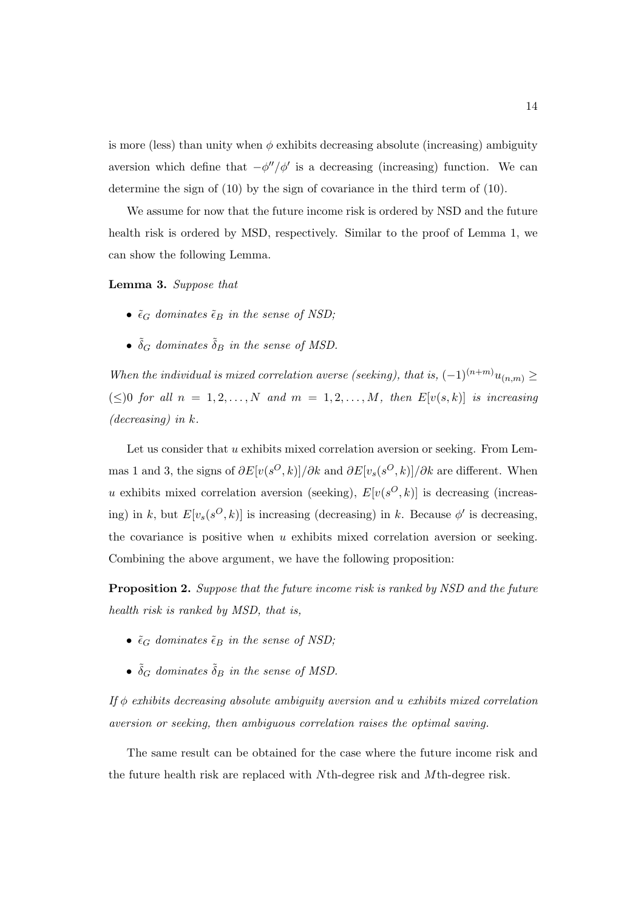is more (less) than unity when  $\phi$  exhibits decreasing absolute (increasing) ambiguity aversion which define that *−ϕ ′′/ϕ′* is a decreasing (increasing) function. We can determine the sign of (10) by the sign of covariance in the third term of (10).

We assume for now that the future income risk is ordered by NSD and the future health risk is ordered by MSD, respectively. Similar to the proof of Lemma 1, we can show the following Lemma.

**Lemma 3.** *Suppose that*

- $\tilde{\epsilon}_G$  *dominates*  $\tilde{\epsilon}_B$  *in the sense of NSD;*
- $\tilde{\delta}_G$  *dominates*  $\tilde{\delta}_B$  *in the sense of MSD.*

*When the individual is mixed correlation averse (seeking), that is,*  $(-1)^{(n+m)}u_{(n,m)} \geq$  $(\leq)0$  *for all*  $n = 1, 2, \ldots, N$  *and*  $m = 1, 2, \ldots, M$ *, then*  $E[v(s, k)]$  *is increasing (decreasing) in k.*

Let us consider that *u* exhibits mixed correlation aversion or seeking. From Lemmas 1 and 3, the signs of  $\partial E[v(s^O, k)]/\partial k$  and  $\partial E[v_s(s^O, k)]/\partial k$  are different. When *u* exhibits mixed correlation aversion (seeking),  $E[v(s^O, k)]$  is decreasing (increasing) in *k*, but  $E[v_s(s^O, k)]$  is increasing (decreasing) in *k*. Because  $\phi'$  is decreasing, the covariance is positive when *u* exhibits mixed correlation aversion or seeking. Combining the above argument, we have the following proposition:

**Proposition 2.** *Suppose that the future income risk is ranked by NSD and the future health risk is ranked by MSD, that is,*

- $\tilde{\epsilon}_G$  *dominates*  $\tilde{\epsilon}_B$  *in the sense of NSD;*
- $\tilde{\delta}_G$  *dominates*  $\tilde{\delta}_B$  *in the sense of MSD.*

*If ϕ exhibits decreasing absolute ambiguity aversion and u exhibits mixed correlation aversion or seeking, then ambiguous correlation raises the optimal saving.*

The same result can be obtained for the case where the future income risk and the future health risk are replaced with *N*th-degree risk and *M*th-degree risk.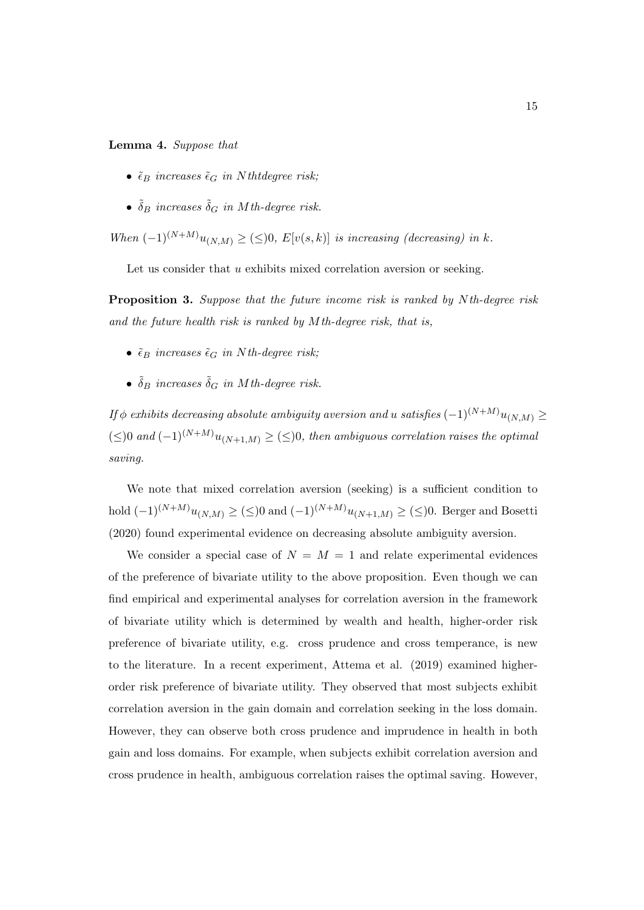#### **Lemma 4.** *Suppose that*

- $\tilde{\epsilon}_B$  *increases*  $\tilde{\epsilon}_G$  *in Nthtdegree risk;*
- $\tilde{\delta}_B$  *increases*  $\tilde{\delta}_G$  *in Mth-degree risk.*

*When*  $(-1)^{(N+M)}u_{(N,M)} \geq (\leq)0$ ,  $E[v(s,k)]$  *is increasing (decreasing) in k.* 

Let us consider that *u* exhibits mixed correlation aversion or seeking.

**Proposition 3.** *Suppose that the future income risk is ranked by Nth-degree risk and the future health risk is ranked by Mth-degree risk, that is,*

- $\tilde{\epsilon}_B$  *increases*  $\tilde{\epsilon}_G$  *in N*<sup>th-degree risk;</sup>
- $\tilde{\delta}_B$  *increases*  $\tilde{\delta}_G$  *in Mth-degree risk.*

*If*  $\phi$  *exhibits decreasing absolute ambiguity aversion and <i>u satisfies* (*−*1)<sup>(*N*+*M*)</sup>*u*<sub>(*N,M*)</sub> *≥* (*≤*)0 *and* (*−*1)(*N*+*M*)*u*(*N*+1*,M*) *≥* (*≤*)0*, then ambiguous correlation raises the optimal saving.*

We note that mixed correlation aversion (seeking) is a sufficient condition to hold  $(-1)^{(N+M)}u_{(N,M)} \geq (\leq)0$  and  $(-1)^{(N+M)}u_{(N+1,M)} \geq (\leq)0$ . Berger and Bosetti (2020) found experimental evidence on decreasing absolute ambiguity aversion.

We consider a special case of  $N = M = 1$  and relate experimental evidences of the preference of bivariate utility to the above proposition. Even though we can find empirical and experimental analyses for correlation aversion in the framework of bivariate utility which is determined by wealth and health, higher-order risk preference of bivariate utility, e.g. cross prudence and cross temperance, is new to the literature. In a recent experiment, Attema et al. (2019) examined higherorder risk preference of bivariate utility. They observed that most subjects exhibit correlation aversion in the gain domain and correlation seeking in the loss domain. However, they can observe both cross prudence and imprudence in health in both gain and loss domains. For example, when subjects exhibit correlation aversion and cross prudence in health, ambiguous correlation raises the optimal saving. However,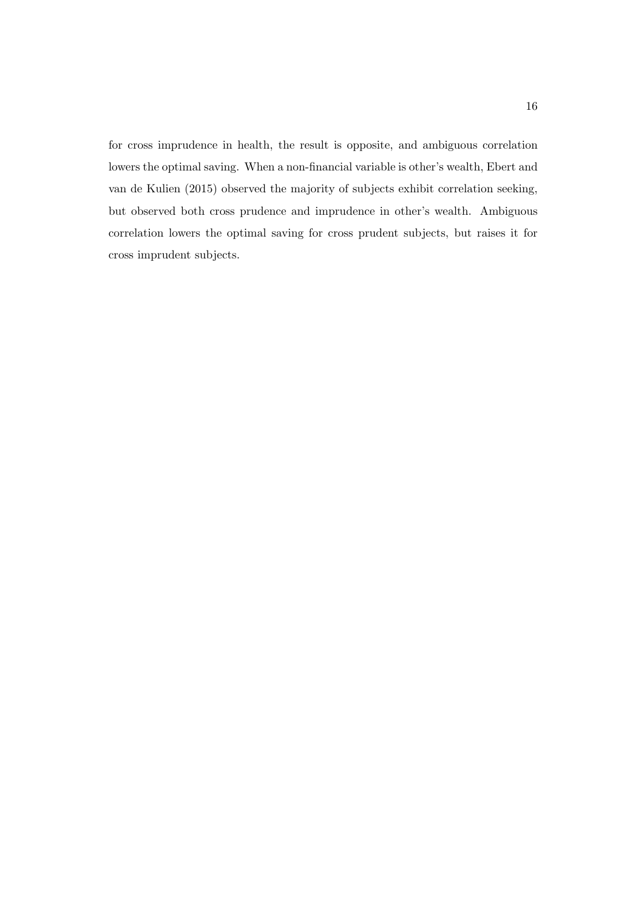for cross imprudence in health, the result is opposite, and ambiguous correlation lowers the optimal saving. When a non-financial variable is other's wealth, Ebert and van de Kulien (2015) observed the majority of subjects exhibit correlation seeking, but observed both cross prudence and imprudence in other's wealth. Ambiguous correlation lowers the optimal saving for cross prudent subjects, but raises it for cross imprudent subjects.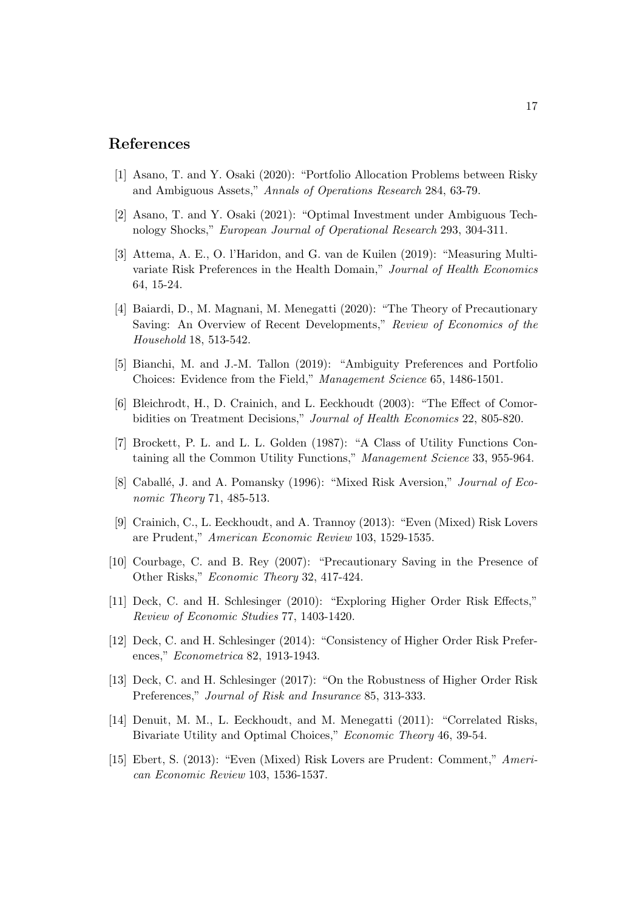### **References**

- [1] Asano, T. and Y. Osaki (2020): "Portfolio Allocation Problems between Risky and Ambiguous Assets," *Annals of Operations Research* 284, 63-79.
- [2] Asano, T. and Y. Osaki (2021): "Optimal Investment under Ambiguous Technology Shocks," *European Journal of Operational Research* 293, 304-311.
- [3] Attema, A. E., O. l'Haridon, and G. van de Kuilen (2019): "Measuring Multivariate Risk Preferences in the Health Domain," *Journal of Health Economics* 64, 15-24.
- [4] Baiardi, D., M. Magnani, M. Menegatti (2020): "The Theory of Precautionary Saving: An Overview of Recent Developments," *Review of Economics of the Household* 18, 513-542.
- [5] Bianchi, M. and J.-M. Tallon (2019): "Ambiguity Preferences and Portfolio Choices: Evidence from the Field," *Management Science* 65, 1486-1501.
- [6] Bleichrodt, H., D. Crainich, and L. Eeckhoudt (2003): "The Effect of Comorbidities on Treatment Decisions," *Journal of Health Economics* 22, 805-820.
- [7] Brockett, P. L. and L. L. Golden (1987): "A Class of Utility Functions Containing all the Common Utility Functions," *Management Science* 33, 955-964.
- [8] Caballé, J. and A. Pomansky (1996): "Mixed Risk Aversion," *Journal of Economic Theory* 71, 485-513.
- [9] Crainich, C., L. Eeckhoudt, and A. Trannoy (2013): "Even (Mixed) Risk Lovers are Prudent," *American Economic Review* 103, 1529-1535.
- [10] Courbage, C. and B. Rey (2007): "Precautionary Saving in the Presence of Other Risks," *Economic Theory* 32, 417-424.
- [11] Deck, C. and H. Schlesinger (2010): "Exploring Higher Order Risk Effects," *Review of Economic Studies* 77, 1403-1420.
- [12] Deck, C. and H. Schlesinger (2014): "Consistency of Higher Order Risk Preferences," *Econometrica* 82, 1913-1943.
- [13] Deck, C. and H. Schlesinger (2017): "On the Robustness of Higher Order Risk Preferences," *Journal of Risk and Insurance* 85, 313-333.
- [14] Denuit, M. M., L. Eeckhoudt, and M. Menegatti (2011): "Correlated Risks, Bivariate Utility and Optimal Choices," *Economic Theory* 46, 39-54.
- [15] Ebert, S. (2013): "Even (Mixed) Risk Lovers are Prudent: Comment," *American Economic Review* 103, 1536-1537.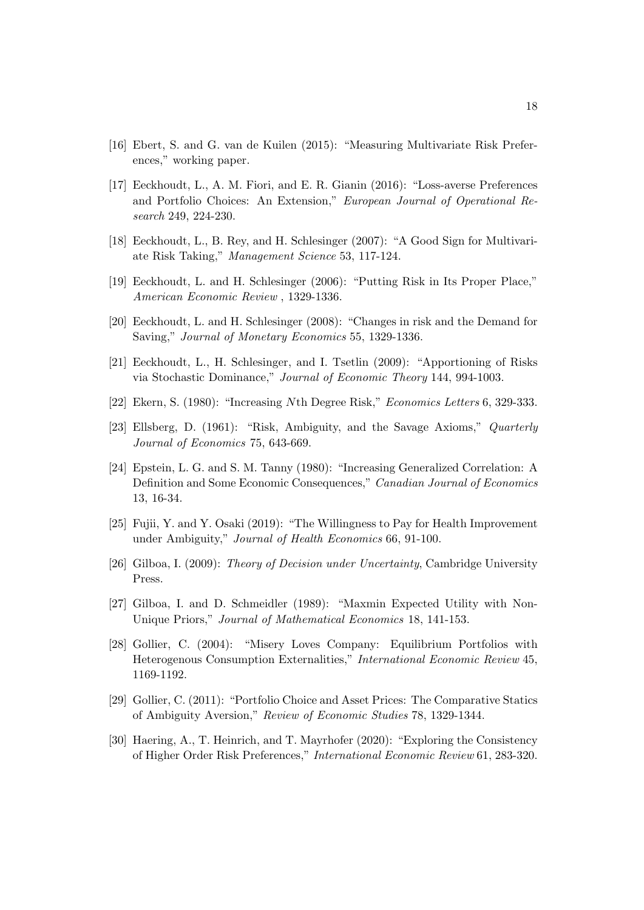- [16] Ebert, S. and G. van de Kuilen (2015): "Measuring Multivariate Risk Preferences," working paper.
- [17] Eeckhoudt, L., A. M. Fiori, and E. R. Gianin (2016): "Loss-averse Preferences and Portfolio Choices: An Extension," *European Journal of Operational Research* 249, 224-230.
- [18] Eeckhoudt, L., B. Rey, and H. Schlesinger (2007): "A Good Sign for Multivariate Risk Taking," *Management Science* 53, 117-124.
- [19] Eeckhoudt, L. and H. Schlesinger (2006): "Putting Risk in Its Proper Place," *American Economic Review* , 1329-1336.
- [20] Eeckhoudt, L. and H. Schlesinger (2008): "Changes in risk and the Demand for Saving," *Journal of Monetary Economics* 55, 1329-1336.
- [21] Eeckhoudt, L., H. Schlesinger, and I. Tsetlin (2009): "Apportioning of Risks via Stochastic Dominance," *Journal of Economic Theory* 144, 994-1003.
- [22] Ekern, S. (1980): "Increasing *N*th Degree Risk," *Economics Letters* 6, 329-333.
- [23] Ellsberg, D. (1961): "Risk, Ambiguity, and the Savage Axioms," *Quarterly Journal of Economics* 75, 643-669.
- [24] Epstein, L. G. and S. M. Tanny (1980): "Increasing Generalized Correlation: A Definition and Some Economic Consequences," *Canadian Journal of Economics* 13, 16-34.
- [25] Fujii, Y. and Y. Osaki (2019): "The Willingness to Pay for Health Improvement under Ambiguity," *Journal of Health Economics* 66, 91-100.
- [26] Gilboa, I. (2009): *Theory of Decision under Uncertainty*, Cambridge University Press.
- [27] Gilboa, I. and D. Schmeidler (1989): "Maxmin Expected Utility with Non-Unique Priors," *Journal of Mathematical Economics* 18, 141-153.
- [28] Gollier, C. (2004): "Misery Loves Company: Equilibrium Portfolios with Heterogenous Consumption Externalities," *International Economic Review* 45, 1169-1192.
- [29] Gollier, C. (2011): "Portfolio Choice and Asset Prices: The Comparative Statics of Ambiguity Aversion," *Review of Economic Studies* 78, 1329-1344.
- [30] Haering, A., T. Heinrich, and T. Mayrhofer (2020): "Exploring the Consistency of Higher Order Risk Preferences," *International Economic Review* 61, 283-320.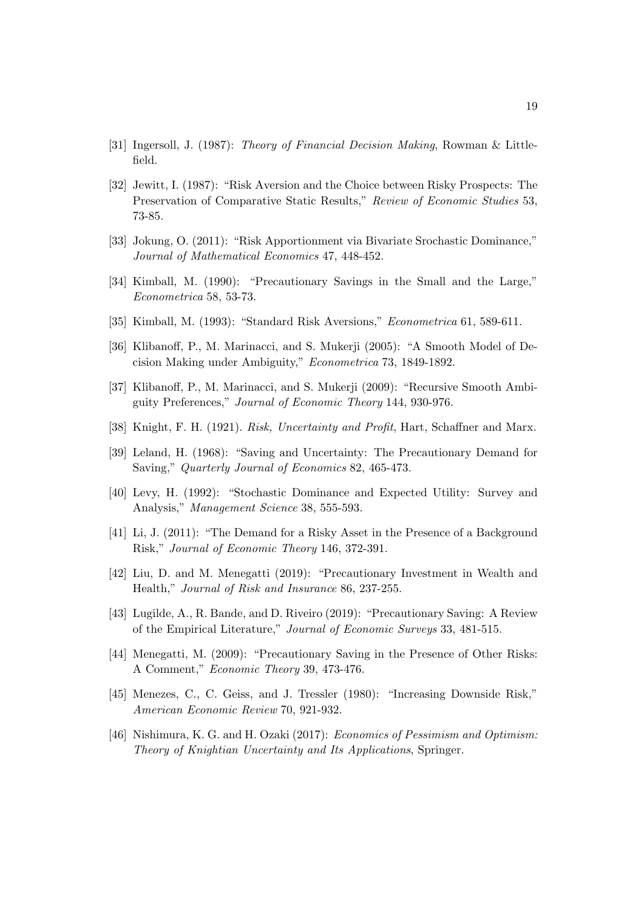- [31] Ingersoll, J. (1987): *Theory of Financial Decision Making*, Rowman & Littlefield.
- [32] Jewitt, I. (1987): "Risk Aversion and the Choice between Risky Prospects: The Preservation of Comparative Static Results," *Review of Economic Studies* 53, 73-85.
- [33] Jokung, O. (2011): "Risk Apportionment via Bivariate Srochastic Dominance," *Journal of Mathematical Economics* 47, 448-452.
- [34] Kimball, M. (1990): "Precautionary Savings in the Small and the Large," *Econometrica* 58, 53-73.
- [35] Kimball, M. (1993): "Standard Risk Aversions," *Econometrica* 61, 589-611.
- [36] Klibanoff, P., M. Marinacci, and S. Mukerji (2005): "A Smooth Model of Decision Making under Ambiguity," *Econometrica* 73, 1849-1892.
- [37] Klibanoff, P., M. Marinacci, and S. Mukerji (2009): "Recursive Smooth Ambiguity Preferences," *Journal of Economic Theory* 144, 930-976.
- [38] Knight, F. H. (1921). *Risk, Uncertainty and Profit*, Hart, Schaffner and Marx.
- [39] Leland, H. (1968): "Saving and Uncertainty: The Precautionary Demand for Saving," *Quarterly Journal of Economics* 82, 465-473.
- [40] Levy, H. (1992): "Stochastic Dominance and Expected Utility: Survey and Analysis," *Management Science* 38, 555-593.
- [41] Li, J. (2011): "The Demand for a Risky Asset in the Presence of a Background Risk," *Journal of Economic Theory* 146, 372-391.
- [42] Liu, D. and M. Menegatti (2019): "Precautionary Investment in Wealth and Health," *Journal of Risk and Insurance* 86, 237-255.
- [43] Lugilde, A., R. Bande, and D. Riveiro (2019): "Precautionary Saving: A Review of the Empirical Literature," *Journal of Economic Surveys* 33, 481-515.
- [44] Menegatti, M. (2009): "Precautionary Saving in the Presence of Other Risks: A Comment," *Economic Theory* 39, 473-476.
- [45] Menezes, C., C. Geiss, and J. Tressler (1980): "Increasing Downside Risk," *American Economic Review* 70, 921-932.
- [46] Nishimura, K. G. and H. Ozaki (2017): *Economics of Pessimism and Optimism: Theory of Knightian Uncertainty and Its Applications*, Springer.